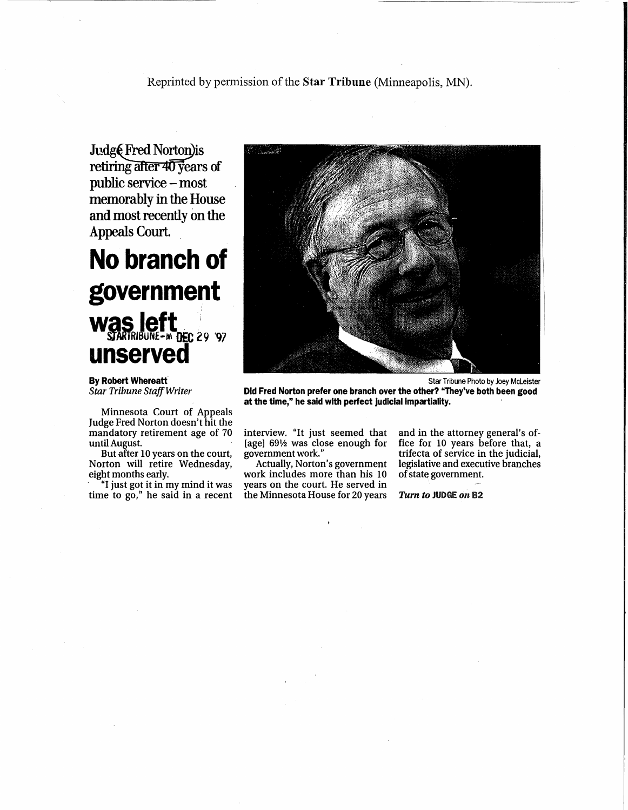Judg@Fred Norton)is<br>retiring after 40 years of public service - most memorably in the House and most recently on the Appeals Court. .

## No branch of government Was left ... unserved

By Robert Whereatt' *Star Tribune StajfWriter*

Minnesota Court of Appeals Judge Fred Norton doesn't hit the mandatory retirement age of 70 untilAugust.

But after 10 years on the court, Norton will retire Wednesday, eight months early.

"I just got it in my mind it was time to go," he said in a recent



Did Fred Norton prefer one branch over the other? "They've both been good at the time," he said with perfect Judicial Impartiality.

interview. "It just seemed that [age] *69V2* was close enough for government work."

Actually, Norton's government work includes more than his 10 years on the court. He served in the Minnesota House for 20 years and in the attorney general's office for 10 years before that, a trifecta of service in the judicial, legislative and executive branches ofstate government.

Tum to JUDGE on 82